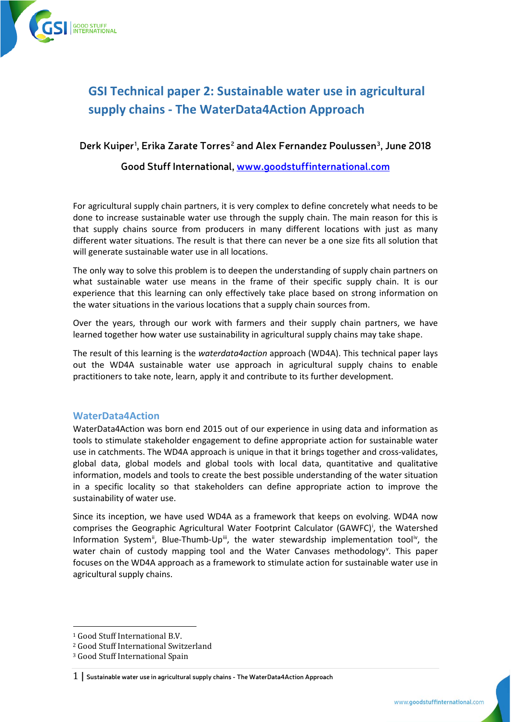

# **GSI Technical paper 2: Sustainable water use in agricultural supply chains - The WaterData4Action Approach**

# **Derk Kuiper[1](#page-0-0) , Erika Zarate Torres[2](#page-0-1) and Alex Fernandez Poulussen[3](#page-0-2), June 2018**

#### **Good Stuff International[, www.goodstuffinternational.com](http://www.goodstuffinternational.com/)**

For agricultural supply chain partners, it is very complex to define concretely what needs to be done to increase sustainable water use through the supply chain. The main reason for this is that supply chains source from producers in many different locations with just as many different water situations. The result is that there can never be a one size fits all solution that will generate sustainable water use in all locations.

The only way to solve this problem is to deepen the understanding of supply chain partners on what sustainable water use means in the frame of their specific supply chain. It is our experience that this learning can only effectively take place based on strong information on the water situations in the various locations that a supply chain sources from.

Over the years, through our work with farmers and their supply chain partners, we have learned together how water use sustainability in agricultural supply chains may take shape.

The result of this learning is the *waterdata4action* approach (WD4A). This technical paper lays out the WD4A sustainable water use approach in agricultural supply chains to enable practitioners to take note, learn, apply it and contribute to its further development.

#### **WaterData4Action**

WaterData4Action was born end 2015 out of our experience in using data and information as tools to stimulate stakeholder engagement to define appropriate action for sustainable water use in catchments. The WD4A approach is unique in that it brings together and cross-validates, global data, global models and global tools with local data, quantitative and qualitative information, models and tools to create the best possible understanding of the water situation in a specific locality so that stakeholders can define appropriate action to improve the sustainability of water use.

Since its inception, we have used WD4A as a framework that keeps on evolving. WD4A now compr[i](#page-5-0)ses the Geographic Agricultural Water Footprint Calculator (GAWFC)<sup>i</sup>, the Watershed Information System<sup>[ii](#page-5-1)</sup>, Blue-Thumb-Up[iii,](#page-5-2) the water stewardship implementation tool[iv,](#page-5-3) the water chain of custody mapping tool and the Water Can[v](#page-5-4)ases methodology<sup>v</sup>. This paper focuses on the WD4A approach as a framework to stimulate action for sustainable water use in agricultural supply chains.

<span id="page-0-0"></span> <sup>1</sup> Good Stuff International B.V.

<span id="page-0-1"></span><sup>2</sup> Good Stuff International Switzerland

<span id="page-0-2"></span><sup>3</sup> Good Stuff International Spain

<sup>1</sup> **| Sustainable water use in agricultural supply chains - The WaterData4Action Approach**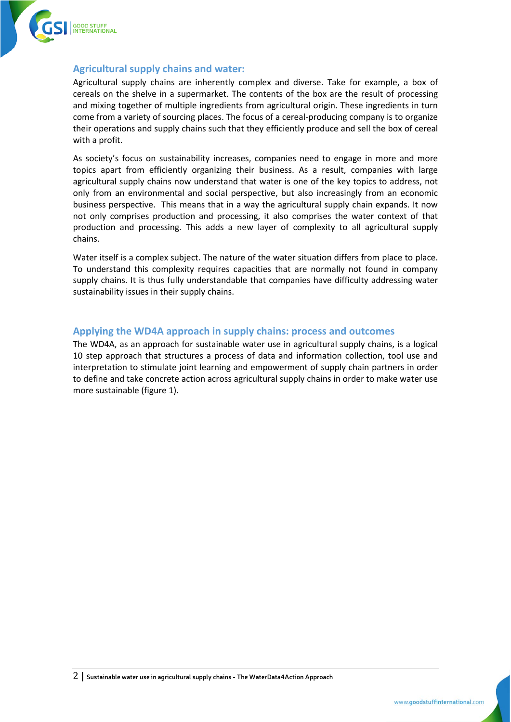

#### **Agricultural supply chains and water:**

Agricultural supply chains are inherently complex and diverse. Take for example, a box of cereals on the shelve in a supermarket. The contents of the box are the result of processing and mixing together of multiple ingredients from agricultural origin. These ingredients in turn come from a variety of sourcing places. The focus of a cereal-producing company is to organize their operations and supply chains such that they efficiently produce and sell the box of cereal with a profit.

As society's focus on sustainability increases, companies need to engage in more and more topics apart from efficiently organizing their business. As a result, companies with large agricultural supply chains now understand that water is one of the key topics to address, not only from an environmental and social perspective, but also increasingly from an economic business perspective. This means that in a way the agricultural supply chain expands. It now not only comprises production and processing, it also comprises the water context of that production and processing. This adds a new layer of complexity to all agricultural supply chains.

Water itself is a complex subject. The nature of the water situation differs from place to place. To understand this complexity requires capacities that are normally not found in company supply chains. It is thus fully understandable that companies have difficulty addressing water sustainability issues in their supply chains.

## **Applying the WD4A approach in supply chains: process and outcomes**

The WD4A, as an approach for sustainable water use in agricultural supply chains, is a logical 10 step approach that structures a process of data and information collection, tool use and interpretation to stimulate joint learning and empowerment of supply chain partners in order to define and take concrete action across agricultural supply chains in order to make water use more sustainable (figure 1).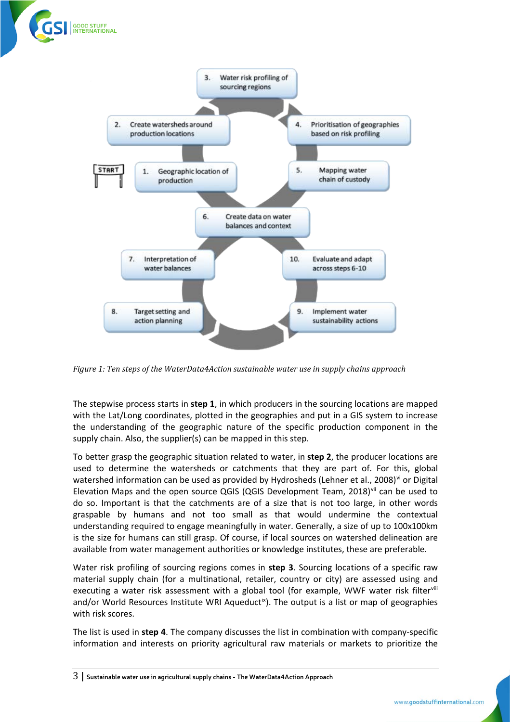



*Figure 1: Ten steps of the WaterData4Action sustainable water use in supply chains approach*

The stepwise process starts in **step 1**, in which producers in the sourcing locations are mapped with the Lat/Long coordinates, plotted in the geographies and put in a GIS system to increase the understanding of the geographic nature of the specific production component in the supply chain. Also, the supplier(s) can be mapped in this step.

To better grasp the geographic situation related to water, in **step 2**, the producer locations are used to determine the watersheds or catchments that they are part of. For this, global watershed information can be used as pro[vi](#page-5-5)ded by Hydrosheds (Lehner et al., 2008)<sup>vi</sup> or Digital Elevation Maps and the open source QGIS (QGIS Development Team, 2018) $\mathrm{V}$  can be used to do so. Important is that the catchments are of a size that is not too large, in other words graspable by humans and not too small as that would undermine the contextual understanding required to engage meaningfully in water. Generally, a size of up to 100x100km is the size for humans can still grasp. Of course, if local sources on watershed delineation are available from water management authorities or knowledge institutes, these are preferable.

Water risk profiling of sourcing regions comes in **step 3**. Sourcing locations of a specific raw material supply chain (for a multinational, retailer, country or city) are assessed using and executing a water risk assessment with a global tool (for example, WWF water risk filtervill and/or World Resources Institute WRI Aqueduct<sup> $x$ </sup>). The output is a list or map of geographies with risk scores.

The list is used in **step 4**. The company discusses the list in combination with company-specific information and interests on priority agricultural raw materials or markets to prioritize the

<sup>3</sup> **| Sustainable water use in agricultural supply chains - The WaterData4Action Approach**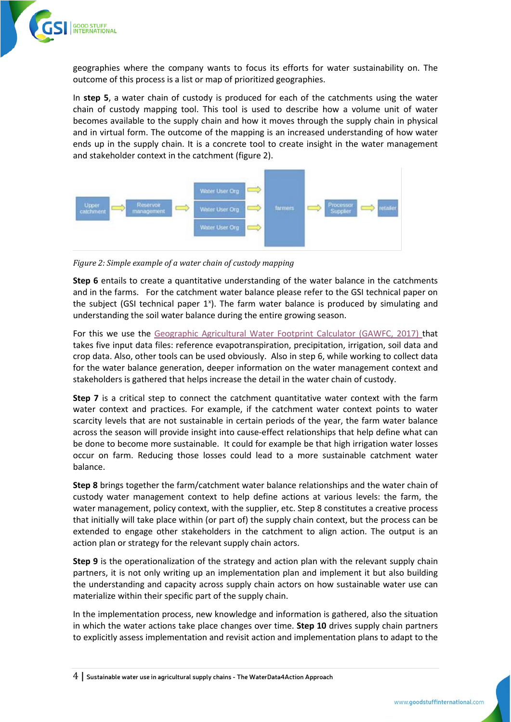

geographies where the company wants to focus its efforts for water sustainability on. The outcome of this process is a list or map of prioritized geographies.

In **step 5**, a water chain of custody is produced for each of the catchments using the water chain of custody mapping tool. This tool is used to describe how a volume unit of water becomes available to the supply chain and how it moves through the supply chain in physical and in virtual form. The outcome of the mapping is an increased understanding of how water ends up in the supply chain. It is a concrete tool to create insight in the water management and stakeholder context in the catchment (figure 2).



*Figure 2: Simple example of a water chain of custody mapping*

**Step 6** entails to create a quantitative understanding of the water balance in the catchments and in the farms. For the catchment water balance please refer to the GSI technical paper on the subject (GSI technical paper 1<sup>[x](#page-5-10)</sup>). The farm water balance is produced by simulating and understanding the soil water balance during the entire growing season.

For this we use the [Geographic Agricultural Water Footprint Calculator \(GAWFC, 2017\) t](#page-5-9)hat takes five input data files: reference evapotranspiration, precipitation, irrigation, soil data and crop data. Also, other tools can be used obviously. Also in step 6, while working to collect data for the water balance generation, deeper information on the water management context and stakeholders is gathered that helps increase the detail in the water chain of custody.

**Step 7** is a critical step to connect the catchment quantitative water context with the farm water context and practices. For example, if the catchment water context points to water scarcity levels that are not sustainable in certain periods of the year, the farm water balance across the season will provide insight into cause-effect relationships that help define what can be done to become more sustainable. It could for example be that high irrigation water losses occur on farm. Reducing those losses could lead to a more sustainable catchment water balance.

**Step 8** brings together the farm/catchment water balance relationships and the water chain of custody water management context to help define actions at various levels: the farm, the water management, policy context, with the supplier, etc. Step 8 constitutes a creative process that initially will take place within (or part of) the supply chain context, but the process can be extended to engage other stakeholders in the catchment to align action. The output is an action plan or strategy for the relevant supply chain actors.

**Step 9** is the operationalization of the strategy and action plan with the relevant supply chain partners, it is not only writing up an implementation plan and implement it but also building the understanding and capacity across supply chain actors on how sustainable water use can materialize within their specific part of the supply chain.

In the implementation process, new knowledge and information is gathered, also the situation in which the water actions take place changes over time. **Step 10** drives supply chain partners to explicitly assess implementation and revisit action and implementation plans to adapt to the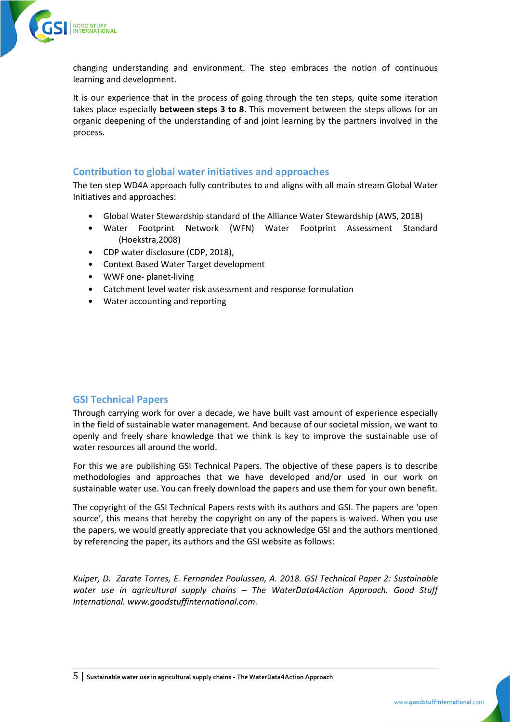

changing understanding and environment. The step embraces the notion of continuous learning and development.

It is our experience that in the process of going through the ten steps, quite some iteration takes place especially **between steps 3 to 8**. This movement between the steps allows for an organic deepening of the understanding of and joint learning by the partners involved in the process.

## **Contribution to global water initiatives and approaches**

The ten step WD4A approach fully contributes to and aligns with all main stream Global Water Initiatives and approaches:

- Global Water Stewardship standard of the Alliance Water Stewardship (AWS, 2018)
- Water Footprint Network (WFN) Water Footprint Assessment Standard (Hoekstra,2008)
- CDP water disclosure (CDP, 2018),
- Context Based Water Target development
- WWF one- planet-living
- Catchment level water risk assessment and response formulation
- Water accounting and reporting

#### **GSI Technical Papers**

Through carrying work for over a decade, we have built vast amount of experience especially in the field of sustainable water management. And because of our societal mission, we want to openly and freely share knowledge that we think is key to improve the sustainable use of water resources all around the world.

For this we are publishing GSI Technical Papers. The objective of these papers is to describe methodologies and approaches that we have developed and/or used in our work on sustainable water use. You can freely download the papers and use them for your own benefit.

The copyright of the GSI Technical Papers rests with its authors and GSI. The papers are 'open source', this means that hereby the copyright on any of the papers is waived. When you use the papers, we would greatly appreciate that you acknowledge GSI and the authors mentioned by referencing the paper, its authors and the GSI website as follows:

*Kuiper, D. Zarate Torres, E. Fernandez Poulussen, A. 2018. GSI Technical Paper 2: Sustainable water use in agricultural supply chains – The WaterData4Action Approach. Good Stuff International. www.goodstuffinternational.com.*